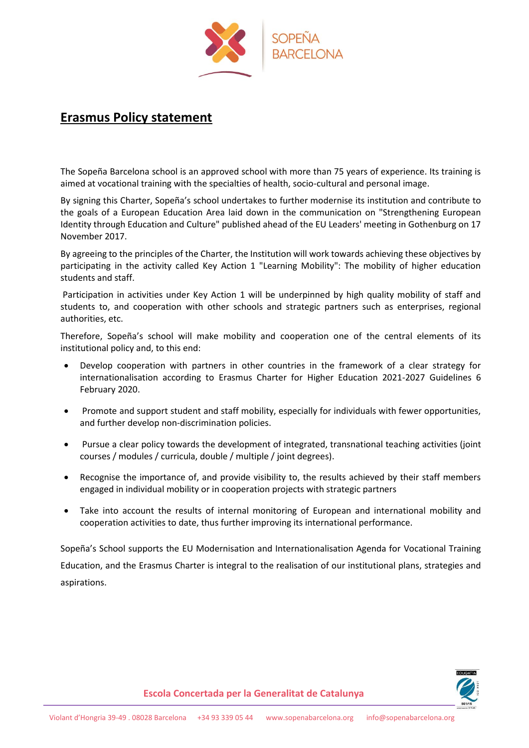

## **Erasmus Policy statement**

The Sopeña Barcelona school is an approved school with more than 75 years of experience. Its training is aimed at vocational training with the specialties of health, socio-cultural and personal image.

By signing this Charter, Sopeña's school undertakes to further modernise its institution and contribute to the goals of a European Education Area laid down in the communication on "Strengthening European Identity through Education and Culture" published ahead of the EU Leaders' meeting in Gothenburg on 17 November 2017.

By agreeing to the principles of the Charter, the Institution will work towards achieving these objectives by participating in the activity called Key Action 1 "Learning Mobility": The mobility of higher education students and staff.

Participation in activities under Key Action 1 will be underpinned by high quality mobility of staff and students to, and cooperation with other schools and strategic partners such as enterprises, regional authorities, etc.

Therefore, Sopeña's school will make mobility and cooperation one of the central elements of its institutional policy and, to this end:

- Develop cooperation with partners in other countries in the framework of a clear strategy for internationalisation according to Erasmus Charter for Higher Education 2021-2027 Guidelines 6 February 2020.
- Promote and support student and staff mobility, especially for individuals with fewer opportunities, and further develop non-discrimination policies.
- Pursue a clear policy towards the development of integrated, transnational teaching activities (joint courses / modules / curricula, double / multiple / joint degrees).
- Recognise the importance of, and provide visibility to, the results achieved by their staff members engaged in individual mobility or in cooperation projects with strategic partners
- Take into account the results of internal monitoring of European and international mobility and cooperation activities to date, thus further improving its international performance.

Sopeña's School supports the EU Modernisation and Internationalisation Agenda for Vocational Training Education, and the Erasmus Charter is integral to the realisation of our institutional plans, strategies and aspirations.



**Escola Concertada per la Generalitat de Catalunya**